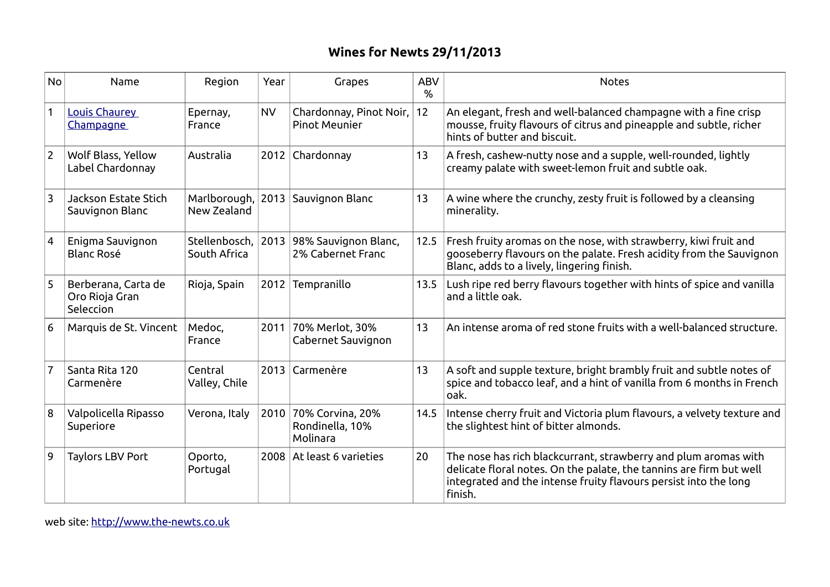## **Wines for Newts 29/11/2013**

| <b>No</b>      | Name                                               | Region                        | Year      | Grapes                                               | <b>ABV</b><br>% | <b>Notes</b>                                                                                                                                                                                                          |
|----------------|----------------------------------------------------|-------------------------------|-----------|------------------------------------------------------|-----------------|-----------------------------------------------------------------------------------------------------------------------------------------------------------------------------------------------------------------------|
| $\mathbf{1}$   | Louis Chaurey<br>Champagne                         | Epernay,<br>France            | <b>NV</b> | Chardonnay, Pinot Noir,<br><b>Pinot Meunier</b>      | 12              | An elegant, fresh and well-balanced champagne with a fine crisp<br>mousse, fruity flavours of citrus and pineapple and subtle, richer<br>hints of butter and biscuit.                                                 |
| $\overline{2}$ | Wolf Blass, Yellow<br>Label Chardonnay             | Australia                     |           | 2012 Chardonnay                                      | 13              | A fresh, cashew-nutty nose and a supple, well-rounded, lightly<br>creamy palate with sweet-lemon fruit and subtle oak.                                                                                                |
| $\overline{3}$ | Jackson Estate Stich<br>Sauvignon Blanc            | Marlborough,<br>New Zealand   | 2013      | Sauvignon Blanc                                      | 13              | A wine where the crunchy, zesty fruit is followed by a cleansing<br>minerality.                                                                                                                                       |
| $\overline{4}$ | Enigma Sauvignon<br><b>Blanc Rosé</b>              | Stellenbosch,<br>South Africa |           | 2013 98% Sauvignon Blanc,<br>2% Cabernet Franc       | 12.5            | Fresh fruity aromas on the nose, with strawberry, kiwi fruit and<br>gooseberry flavours on the palate. Fresh acidity from the Sauvignon<br>Blanc, adds to a lively, lingering finish.                                 |
| 5              | Berberana, Carta de<br>Oro Rioja Gran<br>Seleccion | Rioja, Spain                  | 2012      | Tempranillo                                          | 13.5            | Lush ripe red berry flavours together with hints of spice and vanilla<br>and a little oak.                                                                                                                            |
| 6              | Marquis de St. Vincent                             | Medoc,<br>France              | 2011      | 70% Merlot, 30%<br>Cabernet Sauvignon                | 13              | An intense aroma of red stone fruits with a well-balanced structure.                                                                                                                                                  |
| $\overline{7}$ | Santa Rita 120<br>Carmenère                        | Central<br>Valley, Chile      |           | 2013 Carmenère                                       | 13              | A soft and supple texture, bright brambly fruit and subtle notes of<br>spice and tobacco leaf, and a hint of vanilla from 6 months in French<br>oak.                                                                  |
| 8              | Valpolicella Ripasso<br>Superiore                  | Verona, Italy                 |           | 2010 70% Corvina, 20%<br>Rondinella, 10%<br>Molinara | 14.5            | Intense cherry fruit and Victoria plum flavours, a velvety texture and<br>the slightest hint of bitter almonds.                                                                                                       |
| 9              | <b>Taylors LBV Port</b>                            | Oporto,<br>Portugal           |           | 2008 At least 6 varieties                            | 20              | The nose has rich blackcurrant, strawberry and plum aromas with<br>delicate floral notes. On the palate, the tannins are firm but well<br>integrated and the intense fruity flavours persist into the long<br>finish. |

web site: [http://www.the-newts.co.uk](http://www.the-newts.co.uk/)